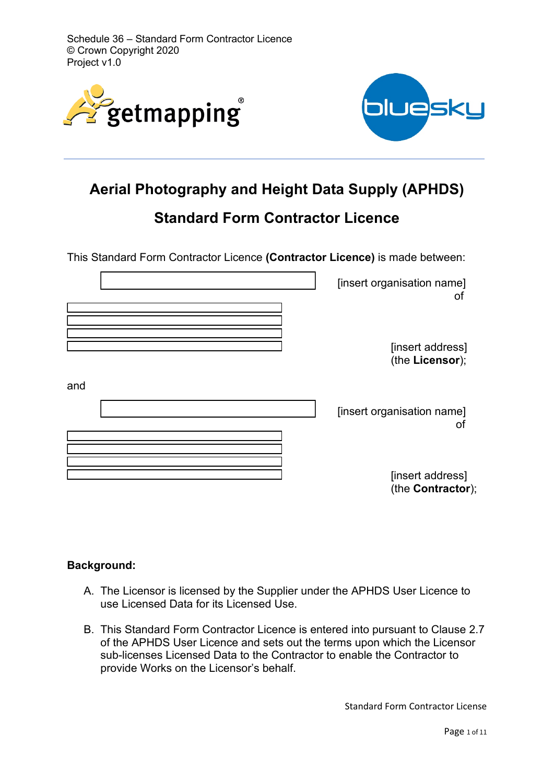Schedule 36 – Standard Form Contractor Licence © Crown Copyright 2020 Project v1.0





# **Aerial Photography and Height Data Supply (APHDS)**

# **Standard Form Contractor Licence**

This Standard Form Contractor Licence **(Contractor Licence)** is made between:

| [insert organisation name]<br>οt      |     |
|---------------------------------------|-----|
| [insert address]<br>(the Licensor);   |     |
| [insert organisation name]<br>ΟĪ      | and |
| [insert address]<br>(the Contractor); |     |

### **Background:**

- A. The Licensor is licensed by the Supplier under the APHDS User Licence to use Licensed Data for its Licensed Use.
- B. This Standard Form Contractor Licence is entered into pursuant to Clause 2.7 of the APHDS User Licence and sets out the terms upon which the Licensor sub-licenses Licensed Data to the Contractor to enable the Contractor to provide Works on the Licensor's behalf.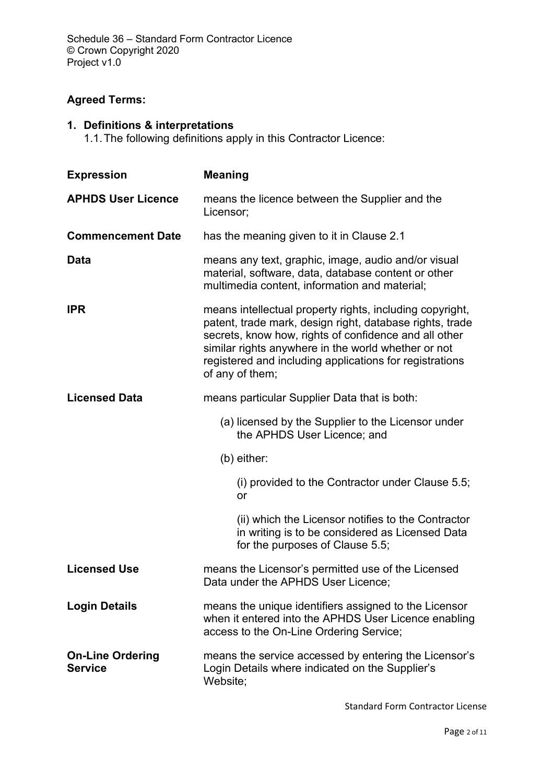# **Agreed Terms:**

# **1. Definitions & interpretations**

1.1.The following definitions apply in this Contractor Licence:

| <b>Expression</b>                         | <b>Meaning</b>                                                                                                                                                                                                                                                                                                     |  |
|-------------------------------------------|--------------------------------------------------------------------------------------------------------------------------------------------------------------------------------------------------------------------------------------------------------------------------------------------------------------------|--|
| <b>APHDS User Licence</b>                 | means the licence between the Supplier and the<br>Licensor;                                                                                                                                                                                                                                                        |  |
| <b>Commencement Date</b>                  | has the meaning given to it in Clause 2.1                                                                                                                                                                                                                                                                          |  |
| Data                                      | means any text, graphic, image, audio and/or visual<br>material, software, data, database content or other<br>multimedia content, information and material;                                                                                                                                                        |  |
| <b>IPR</b>                                | means intellectual property rights, including copyright,<br>patent, trade mark, design right, database rights, trade<br>secrets, know how, rights of confidence and all other<br>similar rights anywhere in the world whether or not<br>registered and including applications for registrations<br>of any of them; |  |
| <b>Licensed Data</b>                      | means particular Supplier Data that is both:                                                                                                                                                                                                                                                                       |  |
|                                           | (a) licensed by the Supplier to the Licensor under<br>the APHDS User Licence; and                                                                                                                                                                                                                                  |  |
|                                           | $(b)$ either:                                                                                                                                                                                                                                                                                                      |  |
|                                           | (i) provided to the Contractor under Clause 5.5;<br>or                                                                                                                                                                                                                                                             |  |
|                                           | (ii) which the Licensor notifies to the Contractor<br>in writing is to be considered as Licensed Data<br>for the purposes of Clause 5.5;                                                                                                                                                                           |  |
| <b>Licensed Use</b>                       | means the Licensor's permitted use of the Licensed<br>Data under the APHDS User Licence;                                                                                                                                                                                                                           |  |
| <b>Login Details</b>                      | means the unique identifiers assigned to the Licensor<br>when it entered into the APHDS User Licence enabling<br>access to the On-Line Ordering Service;                                                                                                                                                           |  |
| <b>On-Line Ordering</b><br><b>Service</b> | means the service accessed by entering the Licensor's<br>Login Details where indicated on the Supplier's<br>Website;                                                                                                                                                                                               |  |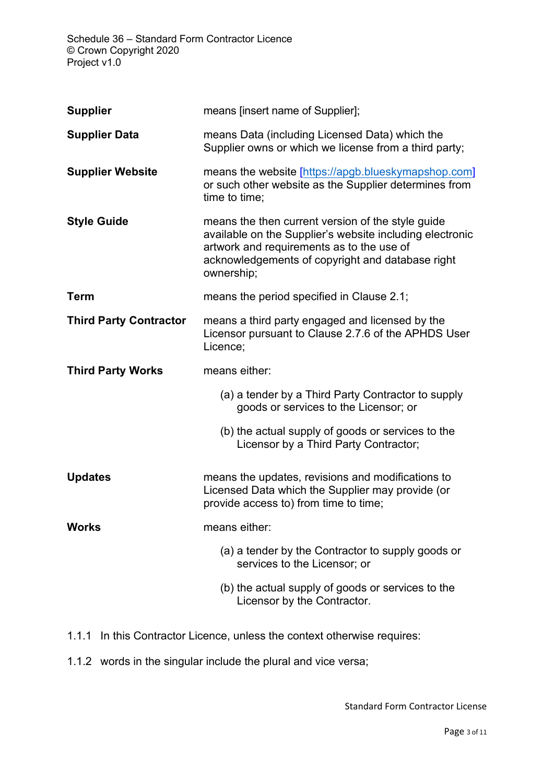Schedule 36 – Standard Form Contractor Licence © Crown Copyright 2020 Project v1.0

| <b>Supplier</b>               | means [insert name of Supplier];                                                                                                                                                                                             |  |
|-------------------------------|------------------------------------------------------------------------------------------------------------------------------------------------------------------------------------------------------------------------------|--|
| <b>Supplier Data</b>          | means Data (including Licensed Data) which the<br>Supplier owns or which we license from a third party;                                                                                                                      |  |
| <b>Supplier Website</b>       | means the website [https://apgb.blueskymapshop.com]<br>or such other website as the Supplier determines from<br>time to time;                                                                                                |  |
| <b>Style Guide</b>            | means the then current version of the style guide<br>available on the Supplier's website including electronic<br>artwork and requirements as to the use of<br>acknowledgements of copyright and database right<br>ownership; |  |
| <b>Term</b>                   | means the period specified in Clause 2.1;                                                                                                                                                                                    |  |
| <b>Third Party Contractor</b> | means a third party engaged and licensed by the<br>Licensor pursuant to Clause 2.7.6 of the APHDS User<br>Licence;                                                                                                           |  |
| <b>Third Party Works</b>      | means either:                                                                                                                                                                                                                |  |
|                               |                                                                                                                                                                                                                              |  |
|                               | (a) a tender by a Third Party Contractor to supply<br>goods or services to the Licensor; or                                                                                                                                  |  |
|                               | (b) the actual supply of goods or services to the<br>Licensor by a Third Party Contractor;                                                                                                                                   |  |
| <b>Updates</b>                | means the updates, revisions and modifications to<br>Licensed Data which the Supplier may provide (or<br>provide access to) from time to time;                                                                               |  |
| <b>Works</b>                  | means either:                                                                                                                                                                                                                |  |
|                               | (a) a tender by the Contractor to supply goods or<br>services to the Licensor; or                                                                                                                                            |  |

- 1.1.1 In this Contractor Licence, unless the context otherwise requires:
- 1.1.2 words in the singular include the plural and vice versa;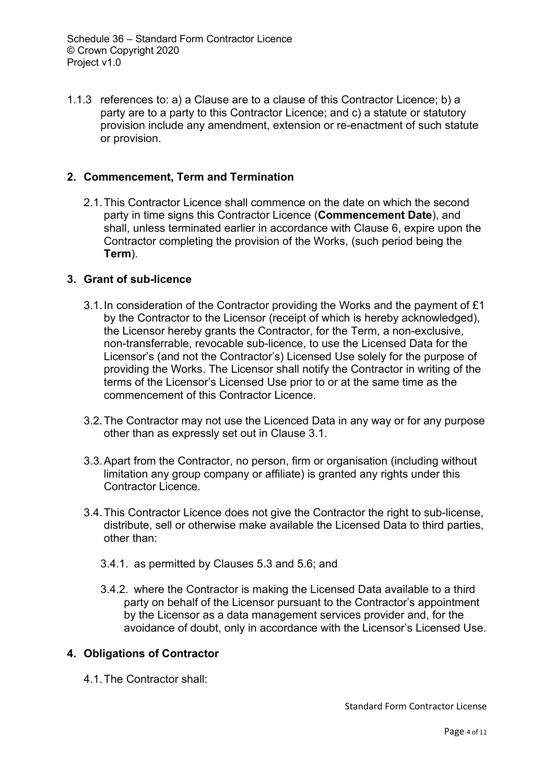1.1.3 references to: a) a Clause are to a clause of this Contractor Licence; b) a party are to a party to this Contractor Licence; and c) a statute or statutory provision include any amendment, extension or re-enactment of such statute or provision.

#### **2. Commencement, Term and Termination**

2.1.This Contractor Licence shall commence on the date on which the second party in time signs this Contractor Licence (**Commencement Date**), and shall, unless terminated earlier in accordance with Clause 6, expire upon the Contractor completing the provision of the Works, (such period being the **Term**).

#### **3. Grant of sub-licence**

- 3.1.In consideration of the Contractor providing the Works and the payment of £1 by the Contractor to the Licensor (receipt of which is hereby acknowledged), the Licensor hereby grants the Contractor, for the Term, a non-exclusive, non-transferrable, revocable sub-licence, to use the Licensed Data for the Licensor's (and not the Contractor's) Licensed Use solely for the purpose of providing the Works. The Licensor shall notify the Contractor in writing of the terms of the Licensor's Licensed Use prior to or at the same time as the commencement of this Contractor Licence.
- 3.2.The Contractor may not use the Licenced Data in any way or for any purpose other than as expressly set out in Clause 3.1.
- 3.3.Apart from the Contractor, no person, firm or organisation (including without limitation any group company or affiliate) is granted any rights under this Contractor Licence.
- 3.4.This Contractor Licence does not give the Contractor the right to sub-license, distribute, sell or otherwise make available the Licensed Data to third parties, other than:
	- 3.4.1. as permitted by Clauses 5.3 and 5.6; and
	- 3.4.2. where the Contractor is making the Licensed Data available to a third party on behalf of the Licensor pursuant to the Contractor's appointment by the Licensor as a data management services provider and, for the avoidance of doubt, only in accordance with the Licensor's Licensed Use.

#### **4. Obligations of Contractor**

4.1.The Contractor shall: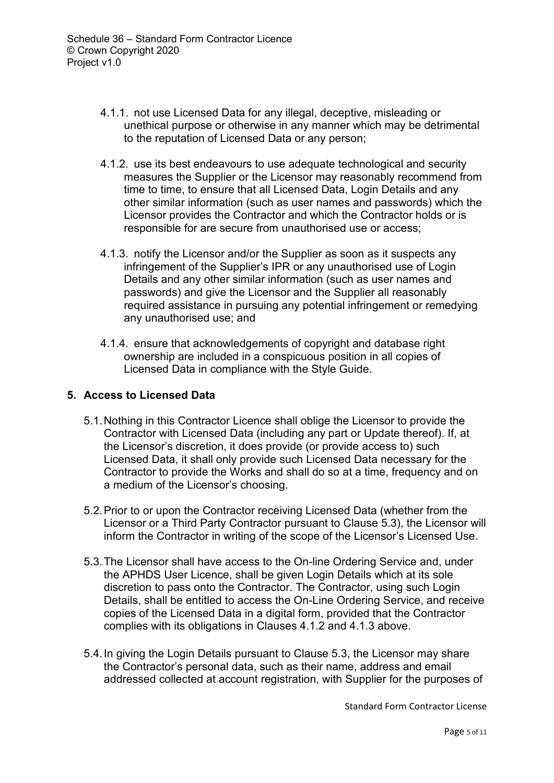- 4.1.1. not use Licensed Data for any illegal, deceptive, misleading or unethical purpose or otherwise in any manner which may be detrimental to the reputation of Licensed Data or any person;
- 4.1.2. use its best endeavours to use adequate technological and security measures the Supplier or the Licensor may reasonably recommend from time to time, to ensure that all Licensed Data, Login Details and any other similar information (such as user names and passwords) which the Licensor provides the Contractor and which the Contractor holds or is responsible for are secure from unauthorised use or access;
- 4.1.3. notify the Licensor and/or the Supplier as soon as it suspects any infringement of the Supplier's IPR or any unauthorised use of Login Details and any other similar information (such as user names and passwords) and give the Licensor and the Supplier all reasonably required assistance in pursuing any potential infringement or remedying any unauthorised use; and
- 4.1.4. ensure that acknowledgements of copyright and database right ownership are included in a conspicuous position in all copies of Licensed Data in compliance with the Style Guide.

### **5. Access to Licensed Data**

- 5.1.Nothing in this Contractor Licence shall oblige the Licensor to provide the Contractor with Licensed Data (including any part or Update thereof). If, at the Licensor's discretion, it does provide (or provide access to) such Licensed Data, it shall only provide such Licensed Data necessary for the Contractor to provide the Works and shall do so at a time, frequency and on a medium of the Licensor's choosing.
- 5.2.Prior to or upon the Contractor receiving Licensed Data (whether from the Licensor or a Third Party Contractor pursuant to Clause 5.3), the Licensor will inform the Contractor in writing of the scope of the Licensor's Licensed Use.
- 5.3.The Licensor shall have access to the On-line Ordering Service and, under the APHDS User Licence, shall be given Login Details which at its sole discretion to pass onto the Contractor. The Contractor, using such Login Details, shall be entitled to access the On-Line Ordering Service, and receive copies of the Licensed Data in a digital form, provided that the Contractor complies with its obligations in Clauses 4.1.2 and 4.1.3 above.
- 5.4.In giving the Login Details pursuant to Clause 5.3, the Licensor may share the Contractor's personal data, such as their name, address and email addressed collected at account registration, with Supplier for the purposes of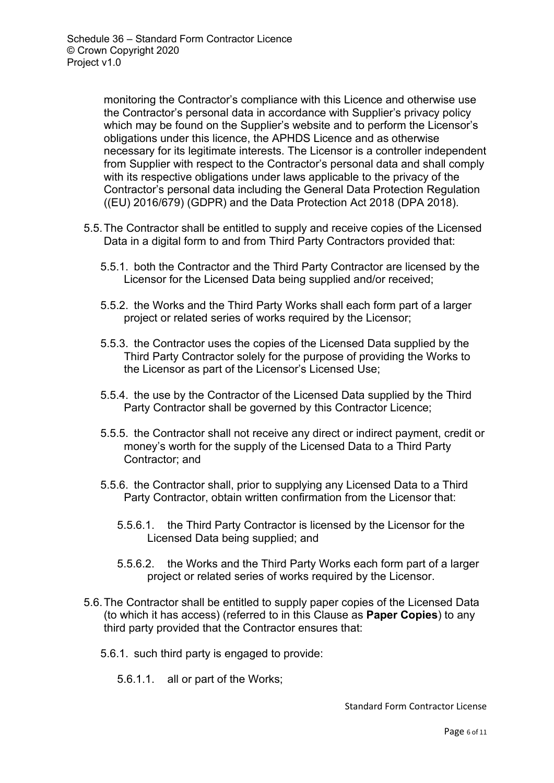monitoring the Contractor's compliance with this Licence and otherwise use the Contractor's personal data in accordance with Supplier's privacy policy which may be found on the Supplier's website and to perform the Licensor's obligations under this licence, the APHDS Licence and as otherwise necessary for its legitimate interests. The Licensor is a controller independent from Supplier with respect to the Contractor's personal data and shall comply with its respective obligations under laws applicable to the privacy of the Contractor's personal data including the General Data Protection Regulation ((EU) 2016/679) (GDPR) and the Data Protection Act 2018 (DPA 2018).

- 5.5.The Contractor shall be entitled to supply and receive copies of the Licensed Data in a digital form to and from Third Party Contractors provided that:
	- 5.5.1. both the Contractor and the Third Party Contractor are licensed by the Licensor for the Licensed Data being supplied and/or received;
	- 5.5.2. the Works and the Third Party Works shall each form part of a larger project or related series of works required by the Licensor;
	- 5.5.3. the Contractor uses the copies of the Licensed Data supplied by the Third Party Contractor solely for the purpose of providing the Works to the Licensor as part of the Licensor's Licensed Use;
	- 5.5.4. the use by the Contractor of the Licensed Data supplied by the Third Party Contractor shall be governed by this Contractor Licence;
	- 5.5.5. the Contractor shall not receive any direct or indirect payment, credit or money's worth for the supply of the Licensed Data to a Third Party Contractor; and
	- 5.5.6. the Contractor shall, prior to supplying any Licensed Data to a Third Party Contractor, obtain written confirmation from the Licensor that:
		- 5.5.6.1. the Third Party Contractor is licensed by the Licensor for the Licensed Data being supplied; and
		- 5.5.6.2. the Works and the Third Party Works each form part of a larger project or related series of works required by the Licensor.
- 5.6.The Contractor shall be entitled to supply paper copies of the Licensed Data (to which it has access) (referred to in this Clause as **Paper Copies**) to any third party provided that the Contractor ensures that:
	- 5.6.1. such third party is engaged to provide:
		- 5.6.1.1. all or part of the Works;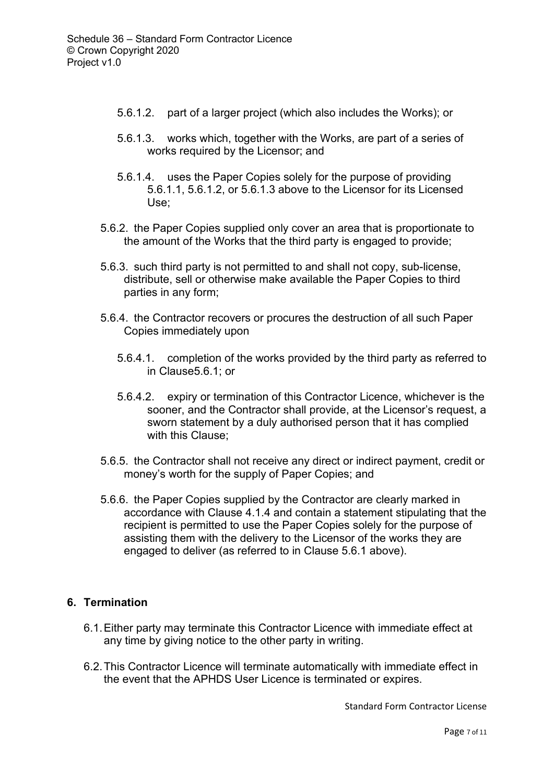- 5.6.1.2. part of a larger project (which also includes the Works); or
- 5.6.1.3. works which, together with the Works, are part of a series of works required by the Licensor; and
- 5.6.1.4. uses the Paper Copies solely for the purpose of providing 5.6.1.1, 5.6.1.2, or 5.6.1.3 above to the Licensor for its Licensed Use;
- 5.6.2. the Paper Copies supplied only cover an area that is proportionate to the amount of the Works that the third party is engaged to provide;
- 5.6.3. such third party is not permitted to and shall not copy, sub-license, distribute, sell or otherwise make available the Paper Copies to third parties in any form;
- 5.6.4. the Contractor recovers or procures the destruction of all such Paper Copies immediately upon
	- 5.6.4.1. completion of the works provided by the third party as referred to in Clause5.6.1; or
	- 5.6.4.2. expiry or termination of this Contractor Licence, whichever is the sooner, and the Contractor shall provide, at the Licensor's request, a sworn statement by a duly authorised person that it has complied with this Clause;
- 5.6.5. the Contractor shall not receive any direct or indirect payment, credit or money's worth for the supply of Paper Copies; and
- 5.6.6. the Paper Copies supplied by the Contractor are clearly marked in accordance with Clause 4.1.4 and contain a statement stipulating that the recipient is permitted to use the Paper Copies solely for the purpose of assisting them with the delivery to the Licensor of the works they are engaged to deliver (as referred to in Clause 5.6.1 above).

### **6. Termination**

- 6.1.Either party may terminate this Contractor Licence with immediate effect at any time by giving notice to the other party in writing.
- 6.2.This Contractor Licence will terminate automatically with immediate effect in the event that the APHDS User Licence is terminated or expires.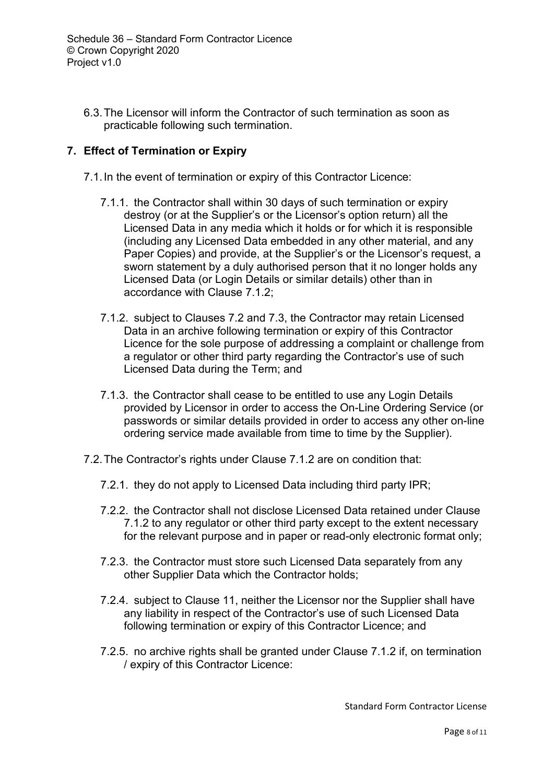6.3.The Licensor will inform the Contractor of such termination as soon as practicable following such termination.

## **7. Effect of Termination or Expiry**

- 7.1.In the event of termination or expiry of this Contractor Licence:
	- 7.1.1. the Contractor shall within 30 days of such termination or expiry destroy (or at the Supplier's or the Licensor's option return) all the Licensed Data in any media which it holds or for which it is responsible (including any Licensed Data embedded in any other material, and any Paper Copies) and provide, at the Supplier's or the Licensor's request, a sworn statement by a duly authorised person that it no longer holds any Licensed Data (or Login Details or similar details) other than in accordance with Clause 7.1.2;
	- 7.1.2. subject to Clauses 7.2 and 7.3, the Contractor may retain Licensed Data in an archive following termination or expiry of this Contractor Licence for the sole purpose of addressing a complaint or challenge from a regulator or other third party regarding the Contractor's use of such Licensed Data during the Term; and
	- 7.1.3. the Contractor shall cease to be entitled to use any Login Details provided by Licensor in order to access the On-Line Ordering Service (or passwords or similar details provided in order to access any other on-line ordering service made available from time to time by the Supplier).
- 7.2.The Contractor's rights under Clause 7.1.2 are on condition that:
	- 7.2.1. they do not apply to Licensed Data including third party IPR;
	- 7.2.2. the Contractor shall not disclose Licensed Data retained under Clause 7.1.2 to any regulator or other third party except to the extent necessary for the relevant purpose and in paper or read-only electronic format only;
	- 7.2.3. the Contractor must store such Licensed Data separately from any other Supplier Data which the Contractor holds;
	- 7.2.4. subject to Clause 11, neither the Licensor nor the Supplier shall have any liability in respect of the Contractor's use of such Licensed Data following termination or expiry of this Contractor Licence; and
	- 7.2.5. no archive rights shall be granted under Clause 7.1.2 if, on termination / expiry of this Contractor Licence: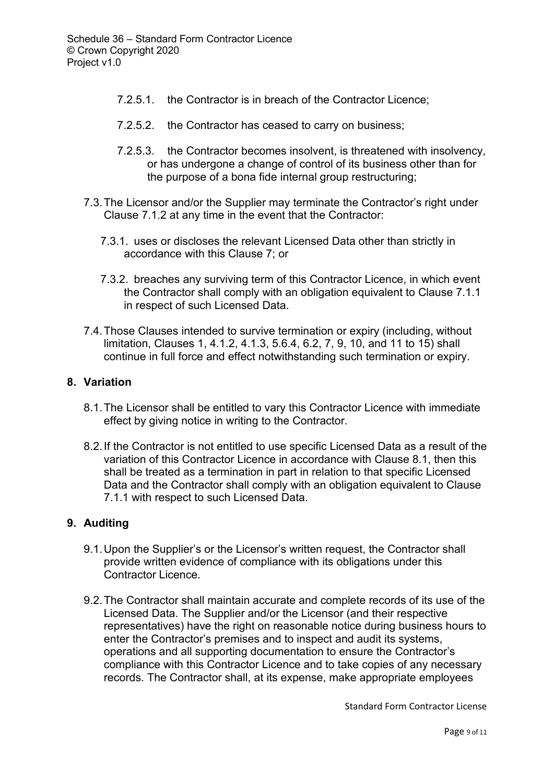- 7.2.5.1. the Contractor is in breach of the Contractor Licence;
- 7.2.5.2. the Contractor has ceased to carry on business;
- 7.2.5.3. the Contractor becomes insolvent, is threatened with insolvency, or has undergone a change of control of its business other than for the purpose of a bona fide internal group restructuring;
- 7.3.The Licensor and/or the Supplier may terminate the Contractor's right under Clause 7.1.2 at any time in the event that the Contractor:
	- 7.3.1. uses or discloses the relevant Licensed Data other than strictly in accordance with this Clause 7; or
	- 7.3.2. breaches any surviving term of this Contractor Licence, in which event the Contractor shall comply with an obligation equivalent to Clause 7.1.1 in respect of such Licensed Data.
- 7.4.Those Clauses intended to survive termination or expiry (including, without limitation, Clauses 1, 4.1.2, 4.1.3, 5.6.4, 6.2, 7, 9, 10, and 11 to 15) shall continue in full force and effect notwithstanding such termination or expiry.

#### **8. Variation**

- 8.1.The Licensor shall be entitled to vary this Contractor Licence with immediate effect by giving notice in writing to the Contractor.
- 8.2.If the Contractor is not entitled to use specific Licensed Data as a result of the variation of this Contractor Licence in accordance with Clause 8.1, then this shall be treated as a termination in part in relation to that specific Licensed Data and the Contractor shall comply with an obligation equivalent to Clause 7.1.1 with respect to such Licensed Data.

#### **9. Auditing**

- 9.1.Upon the Supplier's or the Licensor's written request, the Contractor shall provide written evidence of compliance with its obligations under this Contractor Licence.
- 9.2.The Contractor shall maintain accurate and complete records of its use of the Licensed Data. The Supplier and/or the Licensor (and their respective representatives) have the right on reasonable notice during business hours to enter the Contractor's premises and to inspect and audit its systems, operations and all supporting documentation to ensure the Contractor's compliance with this Contractor Licence and to take copies of any necessary records. The Contractor shall, at its expense, make appropriate employees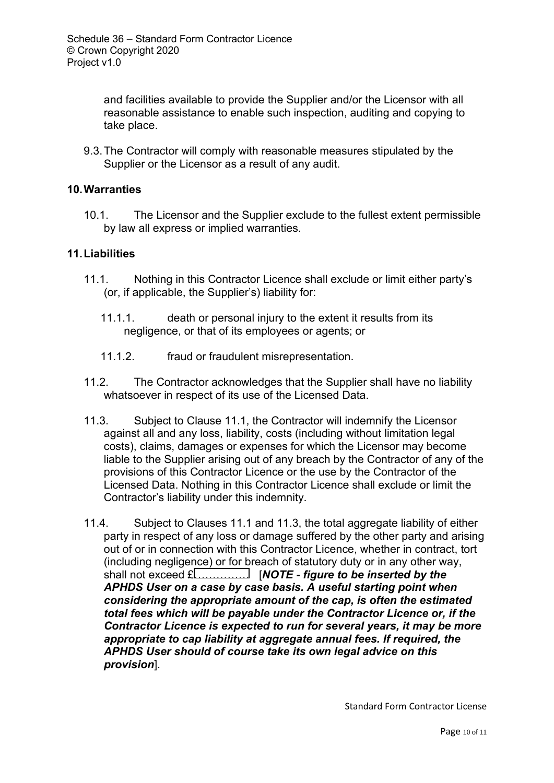and facilities available to provide the Supplier and/or the Licensor with all reasonable assistance to enable such inspection, auditing and copying to take place.

9.3.The Contractor will comply with reasonable measures stipulated by the Supplier or the Licensor as a result of any audit.

### **10.Warranties**

10.1. The Licensor and the Supplier exclude to the fullest extent permissible by law all express or implied warranties.

### **11.Liabilities**

- 11.1. Nothing in this Contractor Licence shall exclude or limit either party's (or, if applicable, the Supplier's) liability for:
	- 11.1.1. death or personal injury to the extent it results from its negligence, or that of its employees or agents; or
	- 11.1.2. fraud or fraudulent misrepresentation.
- 11.2. The Contractor acknowledges that the Supplier shall have no liability whatsoever in respect of its use of the Licensed Data.
- 11.3. Subject to Clause 11.1, the Contractor will indemnify the Licensor against all and any loss, liability, costs (including without limitation legal costs), claims, damages or expenses for which the Licensor may become liable to the Supplier arising out of any breach by the Contractor of any of the provisions of this Contractor Licence or the use by the Contractor of the Licensed Data. Nothing in this Contractor Licence shall exclude or limit the Contractor's liability under this indemnity.
- 11.4. Subject to Clauses 11.1 and 11.3, the total aggregate liability of either party in respect of any loss or damage suffered by the other party and arising out of or in connection with this Contractor Licence, whether in contract, tort (including negligence) or for breach of statutory duty or in any other way, shall not exceed £…………… [*NOTE - figure to be inserted by the APHDS User on a case by case basis. A useful starting point when considering the appropriate amount of the cap, is often the estimated total fees which will be payable under the Contractor Licence or, if the Contractor Licence is expected to run for several years, it may be more appropriate to cap liability at aggregate annual fees. If required, the APHDS User should of course take its own legal advice on this provision*].